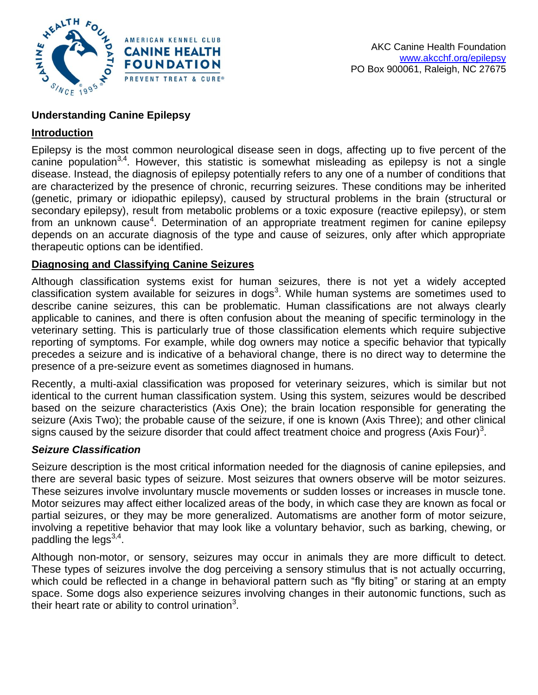

# **Understanding Canine Epilepsy**

# **Introduction**

Epilepsy is the most common neurological disease seen in dogs, affecting up to five percent of the canine population<sup>3,4</sup>. However, this statistic is somewhat misleading as epilepsy is not a single disease. Instead, the diagnosis of epilepsy potentially refers to any one of a number of conditions that are characterized by the presence of chronic, recurring seizures. These conditions may be inherited (genetic, primary or idiopathic epilepsy), caused by structural problems in the brain (structural or secondary epilepsy), result from metabolic problems or a toxic exposure (reactive epilepsy), or stem from an unknown cause<sup>4</sup>. Determination of an appropriate treatment regimen for canine epilepsy depends on an accurate diagnosis of the type and cause of seizures, only after which appropriate therapeutic options can be identified.

## **Diagnosing and Classifying Canine Seizures**

Although classification systems exist for human seizures, there is not yet a widely accepted classification system available for seizures in dogs<sup>3</sup>. While human systems are sometimes used to describe canine seizures, this can be problematic. Human classifications are not always clearly applicable to canines, and there is often confusion about the meaning of specific terminology in the veterinary setting. This is particularly true of those classification elements which require subjective reporting of symptoms. For example, while dog owners may notice a specific behavior that typically precedes a seizure and is indicative of a behavioral change, there is no direct way to determine the presence of a pre-seizure event as sometimes diagnosed in humans.

Recently, a multi-axial classification was proposed for veterinary seizures, which is similar but not identical to the current human classification system. Using this system, seizures would be described based on the seizure characteristics (Axis One); the brain location responsible for generating the seizure (Axis Two); the probable cause of the seizure, if one is known (Axis Three); and other clinical signs caused by the seizure disorder that could affect treatment choice and progress (Axis Four)<sup>3</sup>.

## *Seizure Classification*

Seizure description is the most critical information needed for the diagnosis of canine epilepsies, and there are several basic types of seizure. Most seizures that owners observe will be motor seizures. These seizures involve involuntary muscle movements or sudden losses or increases in muscle tone. Motor seizures may affect either localized areas of the body, in which case they are known as focal or partial seizures, or they may be more generalized. Automatisms are another form of motor seizure, involving a repetitive behavior that may look like a voluntary behavior, such as barking, chewing, or paddling the legs $^{3,4}$ .

Although non-motor, or sensory, seizures may occur in animals they are more difficult to detect. These types of seizures involve the dog perceiving a sensory stimulus that is not actually occurring, which could be reflected in a change in behavioral pattern such as "fly biting" or staring at an empty space. Some dogs also experience seizures involving changes in their autonomic functions, such as their heart rate or ability to control urination<sup>3</sup>.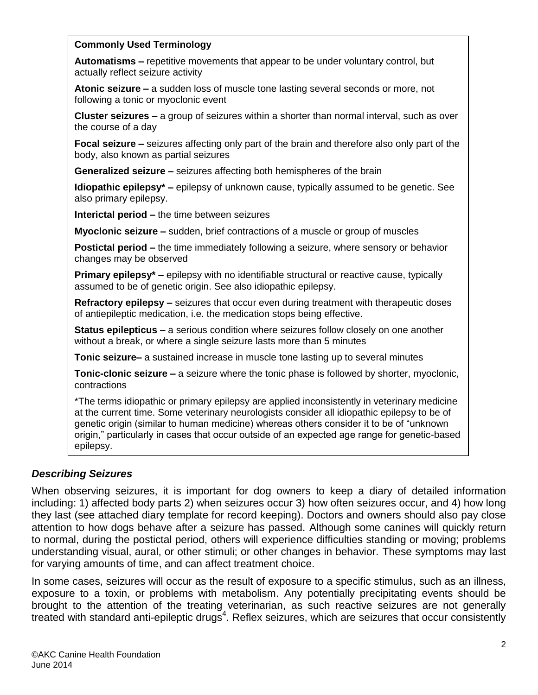#### **Commonly Used Terminology**

**Automatisms –** repetitive movements that appear to be under voluntary control, but actually reflect seizure activity

**Atonic seizure –** a sudden loss of muscle tone lasting several seconds or more, not following a tonic or myoclonic event

**Cluster seizures –** a group of seizures within a shorter than normal interval, such as over the course of a day

**Focal seizure –** seizures affecting only part of the brain and therefore also only part of the body, also known as partial seizures

**Generalized seizure –** seizures affecting both hemispheres of the brain

**Idiopathic epilepsy\* –** epilepsy of unknown cause, typically assumed to be genetic. See also primary epilepsy.

**Interictal period –** the time between seizures

**Myoclonic seizure –** sudden, brief contractions of a muscle or group of muscles

**Postictal period –** the time immediately following a seizure, where sensory or behavior changes may be observed

**Primary epilepsy\* –** epilepsy with no identifiable structural or reactive cause, typically assumed to be of genetic origin. See also idiopathic epilepsy.

**Refractory epilepsy –** seizures that occur even during treatment with therapeutic doses of antiepileptic medication, i.e. the medication stops being effective.

**Status epilepticus –** a serious condition where seizures follow closely on one another without a break, or where a single seizure lasts more than 5 minutes

**Tonic seizure–** a sustained increase in muscle tone lasting up to several minutes

**Tonic-clonic seizure –** a seizure where the tonic phase is followed by shorter, myoclonic, contractions

\*The terms idiopathic or primary epilepsy are applied inconsistently in veterinary medicine at the current time. Some veterinary neurologists consider all idiopathic epilepsy to be of genetic origin (similar to human medicine) whereas others consider it to be of "unknown origin," particularly in cases that occur outside of an expected age range for genetic-based epilepsy.

## *Describing Seizures*

When observing seizures, it is important for dog owners to keep a diary of detailed information including: 1) affected body parts 2) when seizures occur 3) how often seizures occur, and 4) how long they last (see attached diary template for record keeping). Doctors and owners should also pay close attention to how dogs behave after a seizure has passed. Although some canines will quickly return to normal, during the postictal period, others will experience difficulties standing or moving; problems understanding visual, aural, or other stimuli; or other changes in behavior. These symptoms may last for varying amounts of time, and can affect treatment choice.

In some cases, seizures will occur as the result of exposure to a specific stimulus, such as an illness, exposure to a toxin, or problems with metabolism. Any potentially precipitating events should be brought to the attention of the treating veterinarian, as such reactive seizures are not generally treated with standard anti-epileptic drugs<sup>4</sup>. Reflex seizures, which are seizures that occur consistently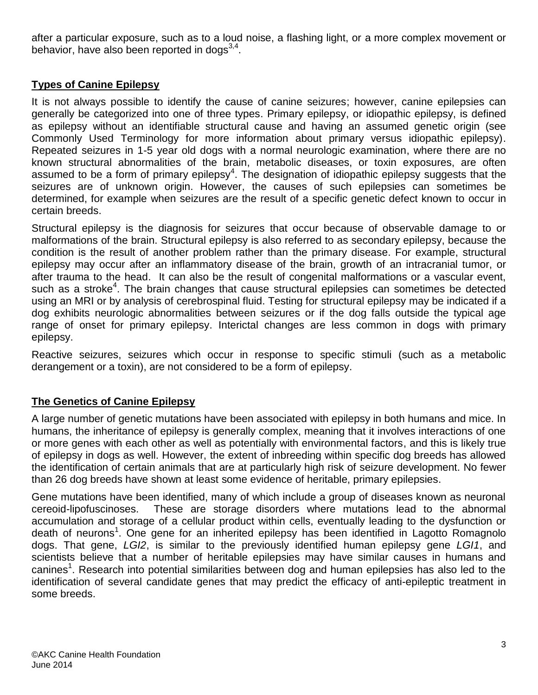after a particular exposure, such as to a loud noise, a flashing light, or a more complex movement or behavior, have also been reported in dogs $^{3,4}$ .

# **Types of Canine Epilepsy**

It is not always possible to identify the cause of canine seizures; however, canine epilepsies can generally be categorized into one of three types. Primary epilepsy, or idiopathic epilepsy, is defined as epilepsy without an identifiable structural cause and having an assumed genetic origin (see Commonly Used Terminology for more information about primary versus idiopathic epilepsy). Repeated seizures in 1-5 year old dogs with a normal neurologic examination, where there are no known structural abnormalities of the brain, metabolic diseases, or toxin exposures, are often assumed to be a form of primary epilepsy<sup>4</sup>. The designation of idiopathic epilepsy suggests that the seizures are of unknown origin. However, the causes of such epilepsies can sometimes be determined, for example when seizures are the result of a specific genetic defect known to occur in certain breeds.

Structural epilepsy is the diagnosis for seizures that occur because of observable damage to or malformations of the brain. Structural epilepsy is also referred to as secondary epilepsy, because the condition is the result of another problem rather than the primary disease. For example, structural epilepsy may occur after an inflammatory disease of the brain, growth of an intracranial tumor, or after trauma to the head. It can also be the result of congenital malformations or a vascular event, such as a stroke<sup>4</sup>. The brain changes that cause structural epilepsies can sometimes be detected using an MRI or by analysis of cerebrospinal fluid. Testing for structural epilepsy may be indicated if a dog exhibits neurologic abnormalities between seizures or if the dog falls outside the typical age range of onset for primary epilepsy. Interictal changes are less common in dogs with primary epilepsy.

Reactive seizures, seizures which occur in response to specific stimuli (such as a metabolic derangement or a toxin), are not considered to be a form of epilepsy.

# **The Genetics of Canine Epilepsy**

A large number of genetic mutations have been associated with epilepsy in both humans and mice. In humans, the inheritance of epilepsy is generally complex, meaning that it involves interactions of one or more genes with each other as well as potentially with environmental factors, and this is likely true of epilepsy in dogs as well. However, the extent of inbreeding within specific dog breeds has allowed the identification of certain animals that are at particularly high risk of seizure development. No fewer than 26 dog breeds have shown at least some evidence of heritable, primary epilepsies.

Gene mutations have been identified, many of which include a group of diseases known as neuronal cereoid-lipofuscinoses. These are storage disorders where mutations lead to the abnormal accumulation and storage of a cellular product within cells, eventually leading to the dysfunction or death of neurons<sup>1</sup>. One gene for an inherited epilepsy has been identified in Lagotto Romagnolo dogs. That gene, *LGI2*, is similar to the previously identified human epilepsy gene *LGI1*, and scientists believe that a number of heritable epilepsies may have similar causes in humans and canines<sup>1</sup>. Research into potential similarities between dog and human epilepsies has also led to the identification of several candidate genes that may predict the efficacy of anti-epileptic treatment in some breeds.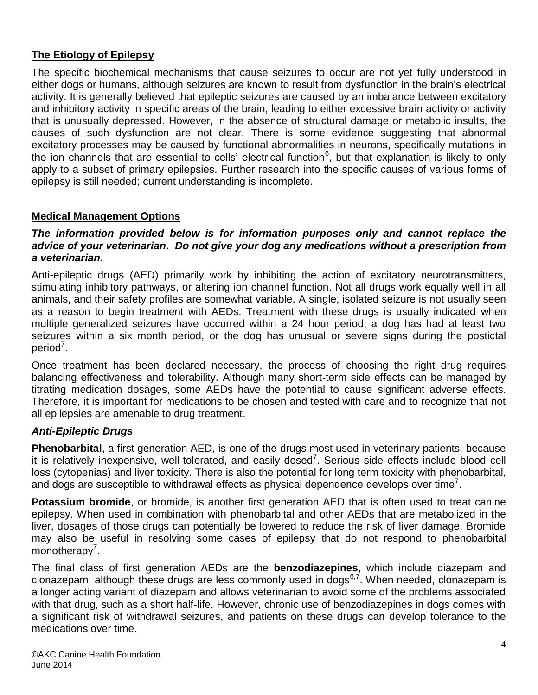# **The Etiology of Epilepsy**

The specific biochemical mechanisms that cause seizures to occur are not yet fully understood in either dogs or humans, although seizures are known to result from dysfunction in the brain's electrical activity. It is generally believed that epileptic seizures are caused by an imbalance between excitatory and inhibitory activity in specific areas of the brain, leading to either excessive brain activity or activity that is unusually depressed. However, in the absence of structural damage or metabolic insults, the causes of such dysfunction are not clear. There is some evidence suggesting that abnormal excitatory processes may be caused by functional abnormalities in neurons, specifically mutations in the ion channels that are essential to cells' electrical function<sup>6</sup>, but that explanation is likely to only apply to a subset of primary epilepsies. Further research into the specific causes of various forms of epilepsy is still needed; current understanding is incomplete.

## **Medical Management Options**

#### *The information provided below is for information purposes only and cannot replace the advice of your veterinarian. Do not give your dog any medications without a prescription from a veterinarian.*

Anti-epileptic drugs (AED) primarily work by inhibiting the action of excitatory neurotransmitters, stimulating inhibitory pathways, or altering ion channel function. Not all drugs work equally well in all animals, and their safety profiles are somewhat variable. A single, isolated seizure is not usually seen as a reason to begin treatment with AEDs. Treatment with these drugs is usually indicated when multiple generalized seizures have occurred within a 24 hour period, a dog has had at least two seizures within a six month period, or the dog has unusual or severe signs during the postictal period<sup>7</sup>.

Once treatment has been declared necessary, the process of choosing the right drug requires balancing effectiveness and tolerability. Although many short-term side effects can be managed by titrating medication dosages, some AEDs have the potential to cause significant adverse effects. Therefore, it is important for medications to be chosen and tested with care and to recognize that not all epilepsies are amenable to drug treatment.

## *Anti-Epileptic Drugs*

**Phenobarbital**, a first generation AED, is one of the drugs most used in veterinary patients, because it is relatively inexpensive, well-tolerated, and easily dosed<sup>7</sup>. Serious side effects include blood cell loss (cytopenias) and liver toxicity. There is also the potential for long term toxicity with phenobarbital, and dogs are susceptible to withdrawal effects as physical dependence develops over time<sup>7</sup>.

**Potassium bromide**, or bromide, is another first generation AED that is often used to treat canine epilepsy. When used in combination with phenobarbital and other AEDs that are metabolized in the liver, dosages of those drugs can potentially be lowered to reduce the risk of liver damage. Bromide may also be useful in resolving some cases of epilepsy that do not respond to phenobarbital monotherapy<sup>7</sup>.

The final class of first generation AEDs are the **benzodiazepines**, which include diazepam and clonazepam, although these drugs are less commonly used in  $d{\rm log}^{6,7}$ . When needed, clonazepam is a longer acting variant of diazepam and allows veterinarian to avoid some of the problems associated with that drug, such as a short half-life. However, chronic use of benzodiazepines in dogs comes with a significant risk of withdrawal seizures, and patients on these drugs can develop tolerance to the medications over time.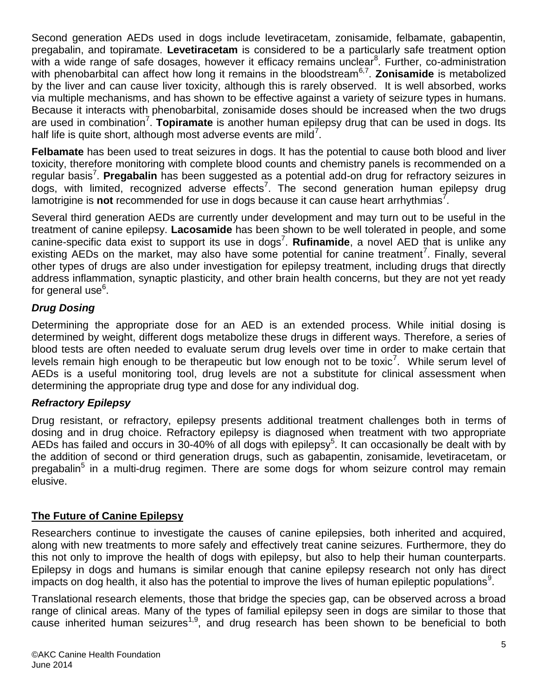Second generation AEDs used in dogs include levetiracetam, zonisamide, felbamate, gabapentin, pregabalin, and topiramate. **Levetiracetam** is considered to be a particularly safe treatment option with a wide range of safe dosages, however it efficacy remains unclear<sup>8</sup>. Further, co-administration with phenobarbital can affect how long it remains in the bloodstream<sup>6,7</sup>. **Zonisamide** is metabolized by the liver and can cause liver toxicity, although this is rarely observed. It is well absorbed, works via multiple mechanisms, and has shown to be effective against a variety of seizure types in humans. Because it interacts with phenobarbital, zonisamide doses should be increased when the two drugs are used in combination<sup>7</sup>. Topiramate is another human epilepsy drug that can be used in dogs. Its half life is quite short, although most adverse events are mild<sup>7</sup>.

**Felbamate** has been used to treat seizures in dogs. It has the potential to cause both blood and liver toxicity, therefore monitoring with complete blood counts and chemistry panels is recommended on a regular basis<sup>7</sup>. Pregabalin has been suggested as a potential add-on drug for refractory seizures in dogs, with limited, recognized adverse effects<sup>7</sup>. The second generation human epilepsy drug lamotrigine is not recommended for use in dogs because it can cause heart arrhythmias<sup>7</sup>.

Several third generation AEDs are currently under development and may turn out to be useful in the treatment of canine epilepsy. **Lacosamide** has been shown to be well tolerated in people, and some canine-specific data exist to support its use in dogs<sup>7</sup>. Rufinamide, a novel AED that is unlike any existing AEDs on the market, may also have some potential for canine treatment<sup>7</sup>. Finally, several other types of drugs are also under investigation for epilepsy treatment, including drugs that directly address inflammation, synaptic plasticity, and other brain health concerns, but they are not yet ready for general use<sup>6</sup>.

# *Drug Dosing*

Determining the appropriate dose for an AED is an extended process. While initial dosing is determined by weight, different dogs metabolize these drugs in different ways. Therefore, a series of blood tests are often needed to evaluate serum drug levels over time in order to make certain that levels remain high enough to be therapeutic but low enough not to be toxic<sup>7</sup>. While serum level of AEDs is a useful monitoring tool, drug levels are not a substitute for clinical assessment when determining the appropriate drug type and dose for any individual dog.

## *Refractory Epilepsy*

Drug resistant, or refractory, epilepsy presents additional treatment challenges both in terms of dosing and in drug choice. Refractory epilepsy is diagnosed when treatment with two appropriate AEDs has failed and occurs in 30-40% of all dogs with epilepsy<sup>5</sup>. It can occasionally be dealt with by the addition of second or third generation drugs, such as gabapentin, zonisamide, levetiracetam, or pregabalin<sup>5</sup> in a multi-drug regimen. There are some dogs for whom seizure control may remain elusive.

## **The Future of Canine Epilepsy**

Researchers continue to investigate the causes of canine epilepsies, both inherited and acquired, along with new treatments to more safely and effectively treat canine seizures. Furthermore, they do this not only to improve the health of dogs with epilepsy, but also to help their human counterparts. Epilepsy in dogs and humans is similar enough that canine epilepsy research not only has direct  $\mu$  impacts on dog health, it also has the potential to improve the lives of human epileptic populations<sup>9</sup>.

Translational research elements, those that bridge the species gap, can be observed across a broad range of clinical areas. Many of the types of familial epilepsy seen in dogs are similar to those that cause inherited human seizures<sup>1,9</sup>, and drug research has been shown to be beneficial to both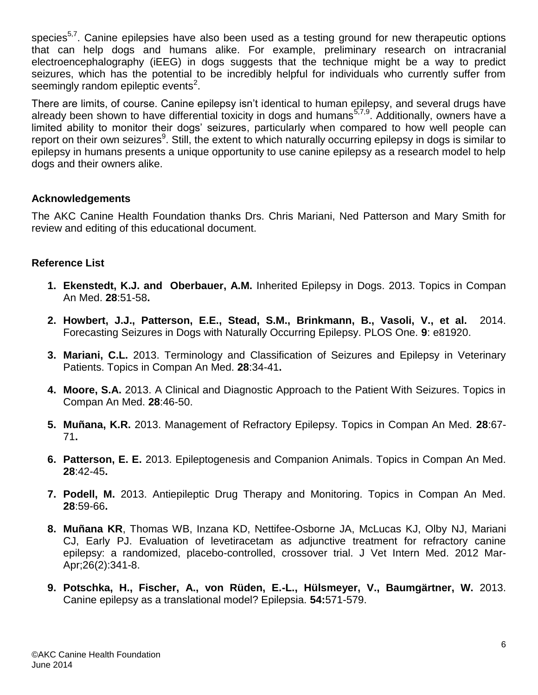species<sup>5,7</sup>. Canine epilepsies have also been used as a testing ground for new therapeutic options that can help dogs and humans alike. For example, preliminary research on intracranial electroencephalography (iEEG) in dogs suggests that the technique might be a way to predict seizures, which has the potential to be incredibly helpful for individuals who currently suffer from seemingly random epileptic events<sup>2</sup>.

There are limits, of course. Canine epilepsy isn't identical to human epilepsy, and several drugs have already been shown to have differential toxicity in dogs and humans<sup>5,7,9</sup>. Additionally, owners have a limited ability to monitor their dogs' seizures, particularly when compared to how well people can report on their own seizures<sup>9</sup>. Still, the extent to which naturally occurring epilepsy in dogs is similar to epilepsy in humans presents a unique opportunity to use canine epilepsy as a research model to help dogs and their owners alike.

## **Acknowledgements**

The AKC Canine Health Foundation thanks Drs. Chris Mariani, Ned Patterson and Mary Smith for review and editing of this educational document.

## **Reference List**

- **1. Ekenstedt, K.J. and Oberbauer, A.M.** Inherited Epilepsy in Dogs. 2013. Topics in Compan An Med. **28**:51-58**.**
- **2. Howbert, J.J., Patterson, E.E., Stead, S.M., Brinkmann, B., Vasoli, V., et al.** 2014. Forecasting Seizures in Dogs with Naturally Occurring Epilepsy. PLOS One. **9**: e81920.
- **3. Mariani, C.L.** 2013. Terminology and Classification of Seizures and Epilepsy in Veterinary Patients. Topics in Compan An Med. **28**:34-41**.**
- **4. Moore, S.A.** 2013. A Clinical and Diagnostic Approach to the Patient With Seizures. Topics in Compan An Med. **28**:46-50.
- **5. Muñana, K.R.** 2013. Management of Refractory Epilepsy. Topics in Compan An Med. **28**:67- 71**.**
- **6. Patterson, E. E.** 2013. Epileptogenesis and Companion Animals. Topics in Compan An Med. **28**:42-45**.**
- **7. Podell, M.** 2013. Antiepileptic Drug Therapy and Monitoring. Topics in Compan An Med. **28**:59-66**.**
- **8. Muñana KR**, Thomas WB, Inzana KD, Nettifee-Osborne JA, McLucas KJ, Olby NJ, Mariani CJ, Early PJ. Evaluation of levetiracetam as adjunctive treatment for refractory canine epilepsy: a randomized, placebo-controlled, crossover trial. J Vet Intern Med. 2012 Mar-Apr;26(2):341-8.
- **9. Potschka, H., Fischer, A., von Rüden, E.-L., Hülsmeyer, V., Baumgärtner, W.** 2013. Canine epilepsy as a translational model? Epilepsia. **54:**571-579.